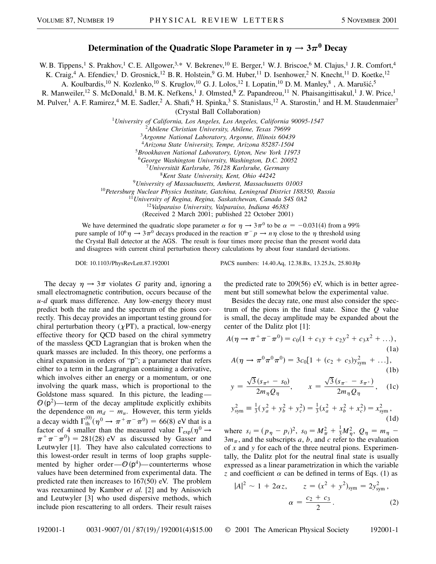## **Determination of the Quadratic Slope Parameter in**  $\eta \rightarrow 3\pi^0$  **Decay**

W. B. Tippens,<sup>1</sup> S. Prakhov,<sup>1</sup> C. E. Allgower,<sup>3,\*</sup> V. Bekrenev,<sup>10</sup> E. Berger,<sup>1</sup> W. J. Briscoe,<sup>6</sup> M. Clajus,<sup>1</sup> J. R. Comfort,<sup>4</sup>

K. Craig,<sup>4</sup> A. Efendiev,<sup>1</sup> D. Grosnick,<sup>12</sup> B. R. Holstein,<sup>9</sup> G. M. Huber,<sup>11</sup> D. Isenhower,<sup>2</sup> N. Knecht,<sup>11</sup> D. Koetke,<sup>12</sup>

A. Koulbardis,<sup>10</sup> N. Kozlenko,<sup>10</sup> S. Kruglov,<sup>10</sup> G. J. Lolos,<sup>12</sup> I. Lopatin,<sup>10</sup> D. M. Manley,<sup>8</sup>, A. Marušić,<sup>5</sup>

R. Manweiler,<sup>12</sup> S. McDonald,<sup>1</sup> B. M. K. Nefkens,<sup>1</sup> J. Olmsted,<sup>8</sup> Z. Papandreou,<sup>11</sup> N. Phaisangittisakul,<sup>1</sup> J. W. Price,<sup>1</sup>

M. Pulver,<sup>1</sup> A. F. Ramirez,<sup>4</sup> M. E. Sadler,<sup>2</sup> A. Shafi,<sup>6</sup> H. Spinka,<sup>3</sup> S. Stanislaus,<sup>12</sup> A. Starostin,<sup>1</sup> and H. M. Staudenmaier<sup>7</sup>

(Crystal Ball Collaboration)

<sup>1</sup>*University of California, Los Angeles, Los Angeles, California 90095-1547*

<sup>2</sup>*Abilene Christian University, Abilene, Texas 79699*

<sup>3</sup>*Argonne National Laboratory, Argonne, Illinois 60439*

<sup>4</sup>*Arizona State University, Tempe, Arizona 85287-1504*

<sup>5</sup>*Brookhaven National Laboratory, Upton, New York 11973*

<sup>6</sup>*George Washington University, Washington, D.C. 20052*

<sup>7</sup>*Universität Karlsruhe, 76128 Karlsruhe, Germany*

<sup>8</sup>*Kent State University, Kent, Ohio 44242*

<sup>9</sup>*University of Massachusetts, Amherst, Massachusetts 01003*

<sup>10</sup>*Petersburg Nuclear Physics Institute, Gatchina, Leningrad District 188350, Russia*

<sup>11</sup>*University of Regina, Regina, Saskatchewan, Canada S4S 0A2*

<sup>12</sup>*Valparaiso University, Valparaiso, Indiana 46383*

(Received 2 March 2001; published 22 October 2001)

We have determined the quadratic slope parameter  $\alpha$  for  $\eta \to 3\pi^0$  to be  $\alpha = -0.031(4)$  from a 99% pure sample of  $10^6\eta \rightarrow 3\pi^0$  decays produced in the reaction  $\pi^-p \rightarrow n\eta$  close to the  $\eta$  threshold using the Crystal Ball detector at the AGS. The result is four times more precise than the present world data and disagrees with current chiral perturbation theory calculations by about four standard deviations.

The decay  $\eta \rightarrow 3\pi$  violates *G* parity and, ignoring a small electromagnetic contribution, occurs because of the *u*-*d* quark mass difference. Any low-energy theory must predict both the rate and the spectrum of the pions correctly. This decay provides an important testing ground for chiral perturbation theory  $(\chi PT)$ , a practical, low-energy effective theory for QCD based on the chiral symmetry of the massless QCD Lagrangian that is broken when the quark masses are included. In this theory, one performs a chiral expansion in orders of "p"; a parameter that refers either to a term in the Lagrangian containing a derivative, which involves either an energy or a momentum, or one involving the quark mass, which is proportional to the Goldstone mass squared. In this picture, the leading—  $\mathcal{O}(p^2)$ —term of the decay amplitude explicitly exhibits the dependence on  $m_d - m_u$ . However, this term yields a decay width  $\Gamma_{\text{th}}^{(0)}(\eta^0 \to \pi^+ \pi^- \pi^0) = 66(8)$  eV that is a factor of 4 smaller than the measured value  $\Gamma_{\text{exp}}(\eta^0 \rightarrow$  $\pi^+\pi^-\pi^0$  = 281(28) eV as discussed by Gasser and Leutwyler [1]. They have also calculated corrections to this lowest-order result in terms of loop graphs supplemented by higher order— $\mathcal{O}(p^4)$ —counterterms whose values have been determined from experimental data. The predicted rate then increases to 167(50) eV. The problem was reexamined by Kambor *et al.* [2] and by Anisovich and Leutwyler [3] who used dispersive methods, which include pion rescattering to all orders. Their result raises

DOI: 10.1103/PhysRevLett.87.192001 PACS numbers: 14.40.Aq, 12.38.Bx, 13.25.Jx, 25.80.Hp

the predicted rate to 209(56) eV, which is in better agreement but still somewhat below the experimental value.

Besides the decay rate, one must also consider the spectrum of the pions in the final state. Since the *Q* value is small, the decay amplitude may be expanded about the center of the Dalitz plot [1]:

$$
A(\eta \to \pi^+ \pi^- \pi^0) = c_0(1 + c_1 y + c_2 y^2 + c_3 x^2 + \ldots),
$$
\n(1a)

$$
A(\eta \to \pi^0 \pi^0 \pi^0) = 3c_0[1 + (c_2 + c_3)y_{sym}^2 + ...],
$$
\n(1b)

$$
y = \frac{\sqrt{3}(s_{\pi^0} - s_0)}{2m_{\eta}Q_{\eta}}, \qquad x = \frac{\sqrt{3}(s_{\pi^-} - s_{\pi^+})}{2m_{\eta}Q_{\eta}}, \quad \text{(1c)}
$$

$$
y_{sym}^2 \equiv \frac{1}{3}(y_a^2 + y_b^2 + y_c^2) = \frac{1}{3}(x_a^2 + x_b^2 + x_c^2) = x_{sym}^2,
$$
\n(1d)

where  $s_i = (p_\eta - p_i)^2$ ,  $s_0 = M_\pi^2 + \frac{1}{3}M_\eta^2$ ,  $Q_\eta = m_\eta$  $3m<sub>\pi</sub>$ , and the subscripts *a*, *b*, and *c* refer to the evaluation of *x* and *y* for each of the three neutral pions. Experimentally, the Dalitz plot for the neutral final state is usually expressed as a linear parametrization in which the variable *z* and coefficient  $\alpha$  can be defined in terms of Eqs. (1) as

$$
|A|^{2} \sim 1 + 2\alpha z, \qquad z = (x^{2} + y^{2})_{\text{sym}} = 2y_{\text{sym}}^{2},
$$

$$
\alpha = \frac{c_{2} + c_{3}}{2}.
$$
 (2)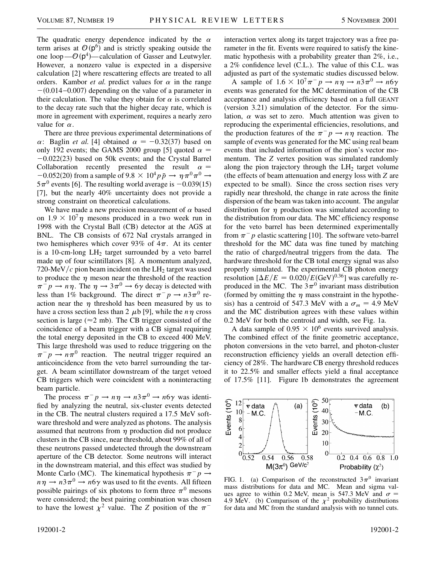The quadratic energy dependence indicated by the  $\alpha$ term arises at  $\mathcal{O}(\mathsf{p}^6)$  and is strictly speaking outside the one loop  $\mathcal{O}(\mathsf{p}^4)$  - calculation of Gasser and Leutwyler. However, a nonzero value is expected in a dispersive calculation [2] where rescattering effects are treated to all orders. Kambor *et al.* predict values for  $\alpha$  in the range  $-(0.014 - 0.007)$  depending on the value of a parameter in their calculation. The value they obtain for  $\alpha$  is correlated to the decay rate such that the higher decay rate, which is more in agreement with experiment, requires a nearly zero value for  $\alpha$ .

There are three previous experimental determinations of  $\alpha$ : Baglin *et al.* [4] obtained  $\alpha = -0.32(37)$  based on only 192 events; the GAMS 2000 group [5] quoted  $\alpha$  =  $-0.022(23)$  based on 50k events; and the Crystal Barrel Collaboration recently presented the result  $\alpha$  =  $-0.052(20)$  from a sample of 9.8  $\times$  10<sup>4</sup> $p\bar{p}$   $\rightarrow$   $\eta \pi^0 \pi^0$   $\rightarrow$  $5\pi^0$  events [6]. The resulting world average is  $-0.039(15)$ [7], but the nearly 40% uncertainty does not provide a strong constraint on theoretical calculations.

We have made a new precision measurement of  $\alpha$  based on  $1.9 \times 10^{7} \eta$  mesons produced in a two week run in 1998 with the Crystal Ball (CB) detector at the AGS at BNL. The CB consists of 672 NaI crystals arranged in two hemispheres which cover 93% of  $4\pi$ . At its center is a 10-cm-long  $LH_2$  target surrounded by a veto barrel made up of four scintillators [8]. A momentum analyzed, 720-MeV $/c$  pion beam incident on the LH<sub>2</sub> target was used to produce the  $\eta$  meson near the threshold of the reaction  $\pi^- p \to n \eta$ . The  $\eta \to 3\pi^0 \to 6\gamma$  decay is detected with less than 1% background. The direct  $\pi^- p \rightarrow n \cdot 3\pi^0$  reaction near the  $\eta$  threshold has been measured by us to have a cross section less than 2  $\mu$ b [9], while the  $n\eta$  cross section is large ( $\approx$ 2 mb). The CB trigger consisted of the coincidence of a beam trigger with a CB signal requiring the total energy deposited in the CB to exceed 400 MeV. This large threshold was used to reduce triggering on the  $\pi^- p \rightarrow n \pi^0$  reaction. The neutral trigger required an anticoincidence from the veto barrel surrounding the target. A beam scintillator downstream of the target vetoed CB triggers which were coincident with a noninteracting beam particle.

The process  $\pi^- p \to n \eta \to n 3\pi^0 \to n 6\gamma$  was identified by analyzing the neutral, six-cluster events detected in the CB. The neutral clusters required a 17.5 MeV software threshold and were analyzed as photons. The analysis assumed that neutrons from  $\eta$  production did not produce clusters in the CB since, near threshold, about 99% of all of these neutrons passed undetected through the downstream aperture of the CB detector. Some neutrons will interact in the downstream material, and this effect was studied by Monte Carlo (MC). The kinematical hypothesis  $\pi^- p \rightarrow$  $n\eta \rightarrow n3\pi^0 \rightarrow n6\gamma$  was used to fit the events. All fifteen possible pairings of six photons to form three  $\pi^0$  mesons were considered; the best pairing combination was chosen to have the lowest  $\chi^2$  value. The *Z* position of the  $\pi^-$ 

interaction vertex along its target trajectory was a free parameter in the fit. Events were required to satisfy the kinematic hypothesis with a probability greater than 2%, i.e., a 2% confidence level (C.L.). The value of this C.L. was adjusted as part of the systematic studies discussed below.

A sample of  $1.6 \times 10^7 \pi^- p \rightarrow n \eta \rightarrow n \frac{3 \pi^0}{10 \gamma} \rightarrow n \frac{6 \gamma}{10 \gamma}$ events was generated for the MC determination of the CB acceptance and analysis efficiency based on a full GEANT (version 3.21) simulation of the detector. For the simulation,  $\alpha$  was set to zero. Much attention was given to reproducing the experimental efficiencies, resolutions, and the production features of the  $\pi^- p \rightarrow n \eta$  reaction. The sample of events was generated for the MC using real beam events that included information of the pion's vector momentum. The *Z* vertex position was simulated randomly along the pion trajectory through the  $LH_2$  target volume (the effects of beam attenuation and energy loss with *Z* are expected to be small). Since the cross section rises very rapidly near threshold, the change in rate across the finite dispersion of the beam was taken into account. The angular distribution for  $\eta$  production was simulated according to the distribution from our data. The MC efficiency response for the veto barrel has been determined experimentally from  $\pi^- p$  elastic scattering [10]. The software veto-barrel threshold for the MC data was fine tuned by matching the ratio of charged/neutral triggers from the data. The hardware threshold for the CB total energy signal was also properly simulated. The experimental CB photon energy resolution  $[\Delta E/E = 0.020/E(\text{GeV})^{0.36}]$  was carefully reproduced in the MC. The  $3\pi^0$  invariant mass distribution (formed by omitting the  $\eta$  mass constraint in the hypothesis) has a centroid of 547.3 MeV with a  $\sigma_m = 4.9$  MeV and the MC distribution agrees with these values within 0.2 MeV for both the centroid and width, see Fig. 1a.

A data sample of  $0.95 \times 10^6$  events survived analysis. The combined effect of the finite geometric acceptance, photon conversions in the veto barrel, and photon-cluster reconstruction efficiency yields an overall detection efficiency of 28%. The hardware CB energy threshold reduces it to 22.5% and smaller effects yield a final acceptance of 17.5% [11]. Figure 1b demonstrates the agreement



FIG. 1. (a) Comparison of the reconstructed  $3\pi^0$  invariant mass distributions for data and MC. Mean and sigma values agree to within 0.2 MeV, mean is 547.3 MeV and  $\sigma$  = 4.9 MeV. (b) Comparison of the  $\chi^2$  probability distributions for data and MC from the standard analysis with no tunnel cuts.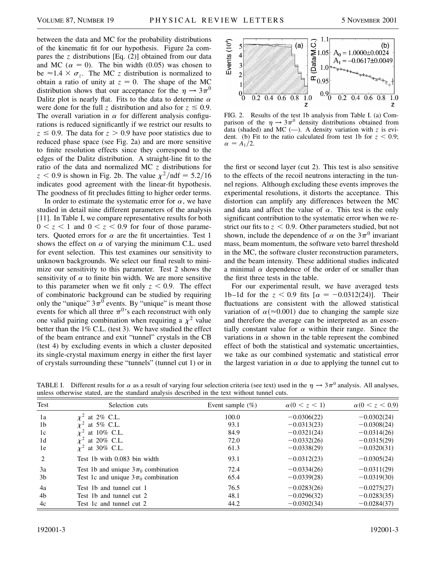between the data and MC for the probability distributions of the kinematic fit for our hypothesis. Figure 2a compares the *z* distributions [Eq. (2)] obtained from our data and MC ( $\alpha = 0$ ). The bin width (0.05) was chosen to be  $\approx$ 1.4  $\times \sigma_z$ . The MC *z* distribution is normalized to obtain a ratio of unity at  $z = 0$ . The shape of the MC distribution shows that our acceptance for the  $\eta \rightarrow 3\pi^0$ Dalitz plot is nearly flat. Fits to the data to determine  $\alpha$ were done for the full *z* distribution and also for  $z \leq 0.9$ . The overall variation in  $\alpha$  for different analysis configurations is reduced significantly if we restrict our results to  $z \leq 0.9$ . The data for  $z > 0.9$  have poor statistics due to reduced phase space (see Fig. 2a) and are more sensitive to finite resolution effects since they correspond to the edges of the Dalitz distribution. A straight-line fit to the ratio of the data and normalized MC *z* distributions for  $z < 0.9$  is shown in Fig. 2b. The value  $\chi^2/\text{ndf} = 5.2/16$ indicates good agreement with the linear-fit hypothesis. The goodness of fit precludes fitting to higher order terms.

In order to estimate the systematic error for  $\alpha$ , we have studied in detail nine different parameters of the analysis [11]. In Table I, we compare representative results for both  $0 < z < 1$  and  $0 < z < 0.9$  for four of those parameters. Quoted errors for  $\alpha$  are the fit uncertainties. Test 1 shows the effect on  $\alpha$  of varying the minimum C.L. used for event selection. This test examines our sensitivity to unknown backgrounds. We select our final result to minimize our sensitivity to this parameter. Test 2 shows the sensitivity of  $\alpha$  to finite bin width. We are more sensitive to this parameter when we fit only  $z < 0.9$ . The effect of combinatoric background can be studied by requiring only the "unique"  $3\pi$ <sup>0</sup> events. By "unique" is meant those events for which all three  $\pi^{0}$ 's each reconstruct with only one valid pairing combination when requiring a  $\chi^2$  value better than the 1% C.L. (test 3). We have studied the effect of the beam entrance and exit "tunnel" crystals in the CB (test 4) by excluding events in which a cluster deposited its single-crystal maximum energy in either the first layer of crystals surrounding these "tunnels" (tunnel cut 1) or in



FIG. 2. Results of the test 1b analysis from Table I. (a) Comparison of the  $\eta \rightarrow 3\pi^0$  density distributions obtained from data (shaded) and MC  $(-)$ . A density variation with *z* is evident. (b) Fit to the ratio calculated from test 1b for  $z < 0.9$ ;  $\alpha = A_1/2.$ 

the first or second layer (cut 2). This test is also sensitive to the effects of the recoil neutrons interacting in the tunnel regions. Although excluding these events improves the experimental resolutions, it distorts the acceptance. This distortion can amplify any differences between the MC and data and affect the value of  $\alpha$ . This test is the only significant contribution to the systematic error when we restrict our fits to  $z < 0.9$ . Other parameters studied, but not shown, include the dependence of  $\alpha$  on the  $3\pi^0$  invariant mass, beam momentum, the software veto barrel threshold in the MC, the software cluster reconstruction parameters, and the beam intensity. These additional studies indicated a minimal  $\alpha$  dependence of the order of or smaller than the first three tests in the table.

For our experimental result, we have averaged tests 1b–1d for the  $z < 0.9$  fits  $[\alpha = -0.0312(24)]$ . Their fluctuations are consistent with the allowed statistical variation of  $\alpha(\approx 0.001)$  due to changing the sample size and therefore the average can be interpreted as an essentially constant value for  $\alpha$  within their range. Since the variations in  $\alpha$  shown in the table represent the combined effect of both the statistical and systematic uncertainties, we take as our combined systematic and statistical error the largest variation in  $\alpha$  due to applying the tunnel cut to

| Test           | Selection cuts                          | Event sample $(\%)$ | $\alpha(0 < z < 1)$ | $\alpha(0 < z < 0.9)$ |
|----------------|-----------------------------------------|---------------------|---------------------|-----------------------|
| 1a             | $\mathbf{v}^2$<br>at $2\%$ C.L.         | 100.0               | $-0.0306(22)$       | $-0.0302(24)$         |
| 1 <sub>b</sub> | at $5\%$ C.L.                           | 93.1                | $-0.0313(23)$       | $-0.0308(24)$         |
| 1c             | at 10% C.L.                             | 84.9                | $-0.0321(24)$       | $-0.0314(26)$         |
| 1 <sub>d</sub> | at 20% C.L.                             | 72.0                | $-0.0332(26)$       | $-0.0315(29)$         |
| 1e             | at 30% C.L.                             | 61.3                | $-0.0338(29)$       | $-0.0320(31)$         |
| $\overline{2}$ | Test 1b with 0.083 bin width            | 93.1                | $-0.0312(23)$       | $-0.0305(24)$         |
| 3a             | Test 1b and unique $3\pi_0$ combination | 72.4                | $-0.0334(26)$       | $-0.0311(29)$         |
| 3 <sub>b</sub> | Test 1c and unique $3\pi_0$ combination | 65.4                | $-0.0339(28)$       | $-0.0319(30)$         |
| 4a             | Test 1b and tunnel cut 1                | 76.5                | $-0.0283(26)$       | $-0.0275(27)$         |
| 4b             | Test 1b and tunnel cut 2                | 48.1                | $-0.0296(32)$       | $-0.0283(35)$         |
| 4c             | Test 1c and tunnel cut 2                | 44.2                | $-0.0302(34)$       | $-0.0284(37)$         |

TABLE I. Different results for  $\alpha$  as a result of varying four selection criteria (see text) used in the  $\eta \to 3\pi^0$  analysis. All analyses, unless otherwise stated, are the standard analysis described in the text without tunnel cuts.